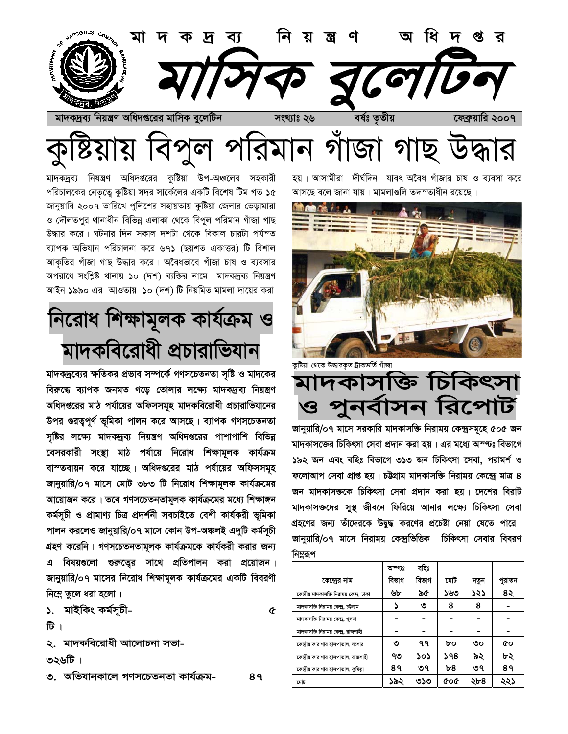

মাদকদ্রব্য নিযন্ত্রণ অধিদপ্তরের কুষ্টিয়া উপ-অঞ্চলের সহকারী পরিচালকের নেতৃত্বে কুষ্টিয়া সদর সার্কেলের একটি বিশেষ টিম গত ১৫ জানুয়ারি ২০০৭ তারিখে পুলিশের সহায়তায় কুষ্টিয়া জেলার ভেড়ামারা ও দৌলতপুর থানাধীন বিভিন্ন এলাকা থেকে বিপুল পরিমান গাঁজা গাছ উদ্ধার করে। ঘটনার দিন সকাল দশটা থেকে বিকাল চারটা পর্যন্ত ব্যাপক অভিযান পরিচালনা করে ৬৭১ (ছয়শত একাত্তর) টি বিশাল আকৃতির গাঁজা গাছ উদ্ধার করে। অবৈধভাবে গাঁজা চাষ ও ব্যবসার অপরাধে সংশ্লিষ্ট থানায় ১০ (দশ) ব্যক্তির নামে মাদকদ্রব্য নিয়ন্ত্রণ আইন ১৯৯০ এর আওতায় ১০ (দশ) টি নিয়মিত মামলা দায়ের করা

নিরোধ শিক্ষামূলক কার্যক্রম মাদকবিরোধী প্রচারাভিযান

মাদকদ্রব্যের ক্ষতিকর প্রভাব সম্পর্কে গণসচেতনতা সৃষ্টি ও মাদকের বিরুদ্ধে ব্যাপক জনমত গড়ে তোলার লক্ষ্যে মাদকদ্রব্য নিয়ন্ত্রণ অধিদপ্তরের মাঠ পর্যায়ের অফিসসমূহ মাদকবিরোধী প্রচারাভিযানের উপর গুরত্বপূর্ণ ভূমিকা পালন করে আসছে। ব্যাপক গণসচেতনতা সৃষ্টির লক্ষ্যে মাদকদ্রব্য নিয়ন্ত্রণ অধিদপ্তরের পাশাপাশি বিভিন্ন বেসরকারী সংস্থা মাঠ পর্যায়ে নিরোধ শিক্ষামূলক কার্যক্রম বাস্তবায়ন করে যাচ্ছে। অধিদগুরের মাঠ পর্যায়ের অফিসসমূহ জানুয়ারি/০৭ মাসে মোট ৩৮৩ টি নিরোধ শিক্ষামূলক কার্যক্রমের আয়োজন করে। তবে গণসচেতনতামূলক কার্যক্রমের মধ্যে শিক্ষাঙ্গন কৰ্মসূচী ও প্ৰামাণ্য চিত্ৰ প্ৰদৰ্শনী সবচাইতে বেশী কাৰ্যকরী ভূমিকা পালন করলেও জানুয়ারি/০৭ মাসে কোন উপ-অঞ্চলই এদুটি কর্মসূচী গ্রহণ করেনি। গণসচেতনতামূলক কার্যক্রমকে কার্যকরী করার জন্য এ বিষয়গুলো গুরুত্বের সাথে প্রতিপালন করা প্রয়োজন। জানুয়ারি/০৭ মাসের নিরোধ শিক্ষামূলক কার্যক্রমের একটি বিবরণী নিম্নে তুলে ধরা হলো।

১. মাইকিং কৰ্মসূচী-

টि ।

২. মাদকবিরোধী আলোচনা সভা-

। তী৬২৩

৩. অভিযানকালে গণসচেতনতা কাৰ্যক্ৰম-

8१

 $\hat{\alpha}$ 

দীর্ঘদিন যাবৎ অবৈধ গাঁজার চাষ ও ব্যবসা করে হয়। আসামীরা আসছে বলে জানা যায়। মামলাগুলি তদম্তাধীন রয়েছে।



কুষ্টিয়া থেকে উদ্ধারকৃত ট্রাকভর্তি গাঁজা

মাদকাসক্তি চিকিৎসা পুনৰ্বাসন রিপোর্ট 13

জানুয়ারি/০৭ মাসে সরকারি মাদকাসক্তি নিরাময় কেন্দ্রসমূহে ৫০৫ জন মাদকাসজের চিকিৎসা সেবা প্রদান করা হয়। এর মধ্যে অম্ণ্যঃ বিভাগে ১৯২ জন এবং বহিঃ বিভাগে ৩১৩ জন চিকিৎসা সেবা, পরামর্শ ও ফলোআপ সেবা প্রাপ্ত হয়। চউগ্রাম মাদকাসক্তি নিরাময় কেন্দ্রে মাত্র ৪ জন মাদকাসক্তকে চিকিৎসা সেবা প্রদান করা হয়। দেশের বিরাট মাদকাসক্তদের সুস্থ জীবনে ফিরিয়ে আনার লক্ষ্যে চিকিৎসা সেবা গ্রহণের জন্য তাঁদেরকে উদ্বুদ্ধ করণের প্রচেষ্টা নেয়া যেতে পারে। জানুয়ারি/০৭ মাসে নিরাময় কেন্দ্রভিত্তিক চিকিৎসা সেবার বিবরণ নিম্নরূপ

|                                             | অম্জঃ | বহিঃ  |            |      |        |
|---------------------------------------------|-------|-------|------------|------|--------|
| কেন্দ্ৰের নাম                               | বিভাগ | বিভাগ | মোট        | নতুন | পুরাতন |
| কেন্দ্রীয় মাদকাসক্তি নিরাময় কেন্দ্র, ঢাকা | ৬৮    | ৯৫    | ১৬৩        | ১২১  | ৪২     |
| মাদকাসক্তি নিরাময় কেন্দ্র, চউগ্রাম         |       | ৩     | 8          | 8    |        |
| মাদকাসক্তি নিরাময় কেন্দ্র, খুলনা           |       |       |            |      |        |
| মাদকাসক্তি নিরাময় কেন্দ্র, রাজশাহী         |       |       |            |      |        |
| কেন্দ্রীয় কারাগার হাসপাতাল, যশোর           | ৩     | ۹۹    | ৮০         | ৩০   | Œо     |
| কেন্দ্রীয় কারাগার হাসপাতাল, রাজশাহী        | ৭৩    | ১০১   | ১৭৪        | ৯২   | ৮২     |
| কেন্দ্রীয় কারাগার হাসপাতাল, কুমিল্লা       | 8१    | ৩৭    | ৮৪         | ৩৭   | 8۹     |
| মোট                                         | ১৯২   | ৩১৩   | <b>coc</b> | ২৮৪  | ২২১    |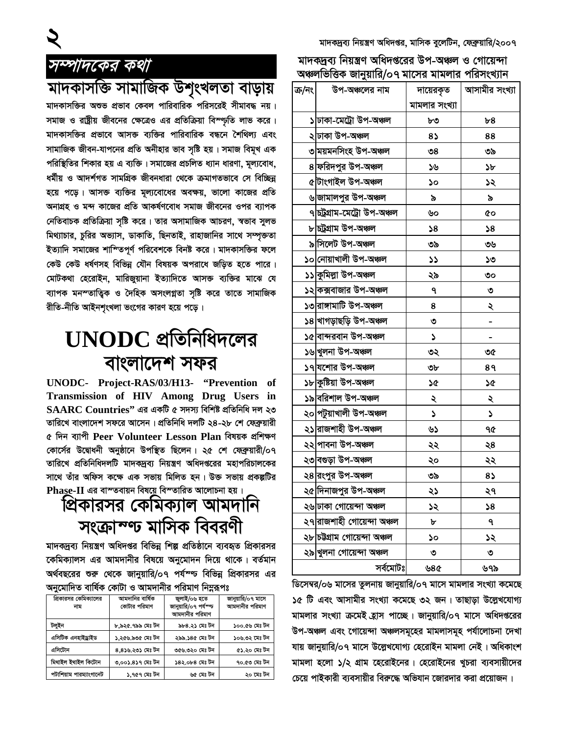#### সম্পাদকের কথা

মাদকাসক্তি সামাজিক উশৃংখলতা বাড়ায়

মাদকাসক্তির অশুভ প্রভাব কেবল পারিবারিক পরিসরেই সীমাবদ্ধ নয়। সমাজ ও রাষ্ট্রীয় জীবনের ক্ষেত্রেও এর প্রতিক্রিয়া বিস্ণ্যৃতি লাভ করে। মাদকাসক্তির প্রভাবে আসক্ত ব্যক্তির পারিবারিক বন্ধনে শৈথিল্য এবং সামাজিক জীবন-যাপনের প্রতি অনীহার ভাব সৃষ্টি হয়। সমাজ বিমুখ এক পরিস্থিতির শিকার হয় এ ব্যক্তি। সমাজের প্রচলিত ধ্যান ধারণা, মূল্যবোধ, ধৰ্মীয় ও আদৰ্শগত সামগ্ৰিক জীবনধারা থেকে ক্ৰমাগতভাবে সে বিচ্ছিন্ন হয়ে পড়ে। আসক্ত ব্যক্তির মূল্যবোধের অবক্ষয়, ভালো কাজের প্রতি অনাগ্রহ ও মন্দ কাজের প্রতি আকর্ষণবোধ সমাজ জীবনের ওপর ব্যাপক নেতিবাচক প্রতিক্রিয়া সৃষ্টি করে। তার অসামাজিক আচরণ, স্বভাব সুলভ মিথ্যাচার, চুরির অভ্যাস, ডাকাতি, ছিনতাই, রাহাজানির সাথে সম্পৃক্ততা ইত্যাদি সমাজের শাশ্তিপূর্ণ পরিবেশকে বিনষ্ট করে। মাদকাসক্তির ফলে কেউ কেউ ধর্ষণসহ বিভিন্ন যৌন বিষয়ক অপরাধে জড়িত হতে পারে। মোটকথা হেরোইন, মারিজুয়ানা ইত্যাদিতে আসক্ত ব্যক্তির মাঝে যে ব্যাপক মনস্তাত্ত্বিক ও দৈহিক অসংলগ্নতা সৃষ্টি করে তাতে সামাজিক রীতি-নীতি আইনশৃংখলা ভংগের কারণ হয়ে পড়ে।

## $UNODC$  প্রতিনিধিদলের বাংলাদেশ সফর

UNODC- Project-RAS/03/H13- "Prevention of Transmission of HIV Among Drug Users in  $\mathbf{S} \mathbf{A} \mathbf{A} \mathbf{R} \mathbf{C}$  Countries" এর একটি ৫ সদস্য বিশিষ্ট প্রতিনিধি দল ২৩ তারিখে বাংলাদেশ সফরে আসেন। প্রতিনিধি দলটি ২৪-২৮ শে ফেব্রুয়ারী ৫ দিন ব্যাপী Peer Volunteer Lesson Plan বিষয়ক প্ৰশিক্ষণ কোর্সের উদ্বোধনী অনুষ্ঠানে উপস্থিত ছিলেন। ২৫ শে ফেব্রুয়ারী/০৭ তারিখে প্রতিনিধিদলটি মাদকদ্রব্য নিয়ন্ত্রণ অধিদপ্তরের মহাপরিচালকের সাথে তাঁর অফিস কক্ষে এক সভায় মিলিত হন। উক্ত সভায় প্রকল্পটির Phase-II এর বাস্তবায়ন বিষয়ে বিস্তারিত আলোচনা হয়।

প্রিকারসর কেমিক্যাল আমদানি সংক্ৰাম্ণ্ট মাসিক বিবরণী

মাদকদ্রব্য নিয়ন্ত্রণ অধিদপ্তর বিভিন্ন শিল্প প্রতিষ্ঠানে ব্যবহৃত প্রিকারসর কেমিক্যালস এর আমদানীর বিষয়ে অনুমোদন দিয়ে থাকে। বর্তমান অর্থবছরের শুরু থেকে জানুয়ারি/০৭ পর্যস্ণ্ড বিভিন্ন প্রিকারসর এর অনমোদিত বার্ষিক কোটা ও আমদানীর পরিমাণ নিম্নরূপঃ

| প্রিকারসর কেমিক্যালের<br>নাম | আমদানির বার্ষিক<br>কোটার পরিমাণ | জ্বলাই/০৬ হতে<br>জানুয়ারি/০৭ পর্যস্ত<br>আমদানীর পরিমাণ | জানুয়ারি/০৭ মাসে<br>আমদানীর পরিমাণ |
|------------------------------|---------------------------------|---------------------------------------------------------|-------------------------------------|
| টলইন                         | ৮.৯২৫.৭৯৯ মেঃ টন                | ৯৮৪.২১ মেঃ টন                                           | ১০০.৫৬ মেঃ টন                       |
| এসিটিক এনহাইড্ৰাইড           | ১.২৫৬.৯৩৫ মেঃ টন                | ২৯৯.১৪৫ মেঃ টন                                          | ১০৬.৩২ মেঃ টন                       |
| এসিটোন                       | ৪,৪১৬,২৩১ মেঃ টন                | ৩৫৬.৩২০ মেঃ টন                                          | ৫১.২০ মেঃ টন                        |
| মিথাইল ইথাইল কিটোন           | ৩,০০১.৪১৭ মেঃ টন                | ১৪২.০৮৪ মেঃ টন                                          | ৭০.৫৩ মেঃ টন                        |
| পটাশিয়াম পারম্যাংগানেট      | ১.৭৫৭ মেঃ টন                    | ৬৫ মেঃ টন                                               | ২০ মেঃ টন                           |

মাদকদ্রব্য নিয়ন্ত্রণ অধিদপ্তর, মাসিক ব্রলেটিন, ফেব্রুয়ারি/২০০৭

মাদকদ্রব্য নিয়ন্ত্রণ অধিদপ্তরের উপ-অঞ্চল ও গোয়েন্দা অঞ্চলভিত্তিক জানযাবি/০৭ মাসেব মামলাব পবিসংখ্যান

| ক/নং | উপ-অঞ্চলের নাম                       | দায়েরকৃত                  | আসামীর সংখ্যা |
|------|--------------------------------------|----------------------------|---------------|
|      |                                      | মামলার সংখ্যা              |               |
|      | ১ ঢাকা-মেট্ৰো উপ-অঞ্চল               | ৮৩                         | ৮৪            |
|      | ২ ঢাকা উপ-অঞ্চল                      | 8১                         | 88            |
|      | ৩ ময়মনসিংহ উপ-অঞ্চল                 | ৩৪                         | ৩৯            |
|      | 8 ফরিদপুর উপ-অঞ্চল                   | ১৬                         | ১৮            |
|      | ৫ টাংগাইল উপ-অঞ্চল                   | ১০                         | ১২            |
|      | ৬ জামালপুর উপ-অঞ্চল                  | ৯                          | ৯             |
|      | ৭ চট্টগ্রাম-মেট্রো উপ-অঞ্চল          | ৬০                         | ¢о            |
|      | ৮ চট্ৰগ্ৰাম উপ-অঞ্চল                 | $\boldsymbol{\mathsf{36}}$ | $\sqrt{8}$    |
|      | ৯ সিলেট উপ-অঞ্চল                     | ৩৯                         | ৩৬            |
|      | ১০ নোয়াখালী উপ-অঞ্চল                | ১১                         | ১৩            |
|      | ১১ কুমিল্লা উপ-অঞ্চল                 | ২৯                         | ৩০            |
|      | ১২ কক্সবাজার উপ-অঞ্চল                | ٩                          | ৩             |
|      | ১৩ রাঙ্গামাটি উপ-অঞ্চল               | 8                          | ২             |
|      | ১৪ খাগড়াছড়ি উপ-অঞ্চল               | ৩                          |               |
|      | ১৫ বান্দরবান উপ-অঞ্চল                | ډ                          |               |
|      | ১৬ খুলনা উপ-অঞ্চল                    | ৩২                         | ৩৫            |
|      | ১৭ যশোর উপ-অঞ্চল                     | ৩৮                         | 8۹            |
|      | ১৮ কুষ্টিয়া উপ-অঞ্চল                | <b>SG</b>                  | ১৫            |
|      | ১৯ বরিশাল উপ-অঞ্চল                   | ২                          | ২             |
|      | ২০ পটুয়াখালী উপ-অঞ্চল               | S                          | ډ             |
|      | ২১ রাজশাহী উপ-অঞ্চল                  | ৬১                         | ৭৫            |
|      | ২২ পাবনা উপ-অঞ্চল                    | ২২                         | ২8            |
|      | ২৩ বগুড়া উপ-অঞ্চল                   | ২০                         | ২২            |
|      | ২৪ রংপুর উপ-অঞ্চল                    | ৩৯                         | 85            |
|      | ২৫ দিনাজপুর উপ-অঞ্চল                 | ২১                         | ২৭            |
|      | ২৬ <mark>চাকা গোয়েন্দা অঞ্চল</mark> | ১২                         | $\mathsf{S}8$ |
|      | ২৭ রাজশাহী গোয়েন্দা অঞ্চল           | ৮                          | ٩             |
|      | ২৮ চউগ্ৰাম গোয়েন্দা অঞ্চল           | ১০                         | ১২            |
|      | ২৯ খুলনা গোয়েন্দা অঞ্চল             | ৩                          | ৩             |
|      | সৰ্বমোটঃ                             | ৬৪৫                        | ৬৭৯           |

ডিসেম্বর/০৬ মাসের তুলনায় জানুয়ারি/০৭ মাসে মামলার সংখ্যা কমেছে ১৫ টি এবং আসামীর সংখ্যা কমেছে ৩২ জন। তাছাডা উল্লেখযোগ্য মামলার সংখ্যা ক্রমেই হ্রাস পাচ্ছে। জানুয়ারি/০৭ মাসে অধিদপ্তরের উপ-অঞ্চল এবং গোয়েন্দা অঞ্চলসমূহের মামলাসমূহ পর্যালোচনা দেখা যায় জানুয়ারি/০৭ মাসে উল্লেখযোগ্য হেরোইন মামলা নেই। অধিকাংশ মামলা হলো ১/২ গ্রাম হেরোইনের। হেরোইনের খুচরা ব্যবসায়ীদের চেয়ে পাইকারী ব্যবসায়ীর বিরুদ্ধে অভিযান জোরদার করা প্রয়োজন।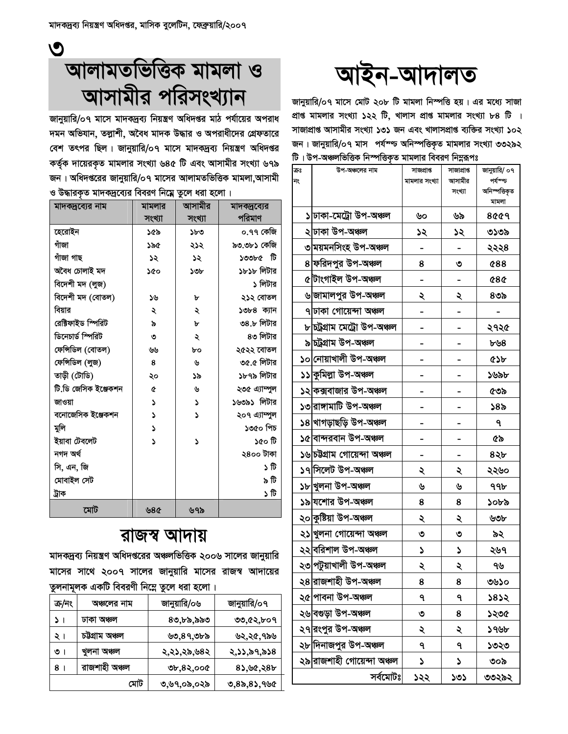$\mathbf{O}$ 

# আলামতভিত্তিক মামলা ও আসামীর পরিসংখ্যান

জানুয়ারি/০৭ মাসে মাদকদ্রব্য নিয়ন্ত্রণ অধিদপ্তর মাঠ পর্যায়ের অপরাধ দমন অভিযান, তল্লাশী, অবৈধ মাদক উদ্ধার ও অপরাধীদের গ্রেফতারে বেশ তৎপর ছিল। জানুয়ারি/০৭ মাসে মাদকদ্রব্য নিয়ন্ত্রণ অধিদপ্তর কর্তৃক দায়েরকৃত মামলার সংখ্যা ৬৪৫ টি এবং আসামীর সংখ্যা ৬৭৯ জন। অধিদপ্তরের জানুয়ারি/০৭ মাসের আলামতভিত্তিক মামলা,আসামী ও উদ্ধারকৃত মাদকদ্রব্যের বিবরণ নিম্নে তুলে ধরা হলো।

| মাদকদ্রব্যের নাম     | মামলার | আসামীর | মাদক্ষ্রব্যের |
|----------------------|--------|--------|---------------|
|                      | সংখ্যা | সংখ্যা | পরিমাণ        |
| হেরোইন               | ১৫৯    | ১৮৩    | ০.৭৭ কেজি     |
| গাঁজা                | ১৯৫    | ২১২    | ৯৩.৩৮১ কেজি   |
| গাঁজা গাছ            | ১২     | ১২     | ১৩৩৮৫ টি      |
| অবৈধ চোলাই মদ        | ১৫০    | ১৩৮    | ১৮১৮ লিটার    |
| বিদেশী মদ (লুজ)      |        |        | ১ লিটার       |
| বিদেশী মদ (বোতল)     | ১৬     | ৮      | ২১২ বোতল      |
| বিয়ার               | ২      | ২      | ১৩৮৪ ক্যান    |
| রেক্টিফাইড স্পিরিট   | ৯      | Þ      | ৩৪.৮ লিটার    |
| ডিনেচার্ড স্পিরিট    | ৩      | ২      | ৪৩ লিটার      |
| ফেন্সিডিল (বোতল)     | ৬৬     | ৮০     | ২৫২২ বোতল     |
| ফেন্সিডিল (লুজ)      | 8      | ৬      | ৩৫.৫ লিটার    |
| তাড়ী (টোডি)         | ২০     | ১৯     | ১৮৭৯ লিটার    |
| টি ডি জেসিক ইঞ্জেকশন | ¢      | ৬      | ২৩৫ এ্যাম্পুল |
| জাওয়া               | د      | د      | ১৬৩৯১ লিটার   |
| বনোজেসিক ইঞ্জেকশন    | S      | ۵      | ২০৭ এ্যাম্পুল |
| মুলি                 | S      |        | ১৩৫০ পিচ      |
| ইয়াবা টেবলেট        | ۷      | ۵      | ৰ্ঘ ০১১       |
| নগদ অৰ্থ             |        |        | ২৪০০ টাকা     |
| সি, এন, জি           |        |        | ১ টি          |
| মোবাইল সেট           |        |        | ৯ টি          |
| ট্ৰাক                |        |        | গী ረ          |
| মোট                  | ৬৪৫    | ৬৭৯    |               |

### রাজস্ব আদায়

মাদকদ্রব্য নিয়ন্ত্রণ অধিদপ্তরের অঞ্চলভিত্তিক ২০০৬ সালের জানুয়ারি মাসের সাথে ২০০৭ সালের জানুয়ারি মাসের রাজস্ব আদায়ের তুলনামূলক একটি বিবরণী নিম্নে তুলে ধরা হলো।

| ক্ৰ/নং  | অঞ্চলের নাম     | জানুয়ারি/০৬ | জানুয়ারি/০৭ |  |
|---------|-----------------|--------------|--------------|--|
| ۷<br>-1 | ঢাকা অঞ্চল      | ৪৩,৮৯,৯৯৩    | ৩৩,৫২,৮০৭    |  |
| २।      | চট্টগ্ৰাম অঞ্চল | ৬৩,৪৭,৩৮৯    | ৬২,২৫,৭৯৬    |  |
| ৩।      | খুলনা অঞ্চল     | ২,২১,২৯,৬৪২  | ২,১১,৯৭,৯১৪  |  |
| 8       | রাজশাহী অঞ্চল   | ৩৮,৪২,০০৫    | 8১,৬৫,২৪৮    |  |
|         | মোট             | ৩,৬৭,০৯,০২৯  | ৩,৪৯,৪১,৭৬৫  |  |

# আইন-আদালত

জানুয়ারি/০৭ মাসে মোট ২০৮ টি মামলা নিস্পত্তি হয়। এর মধ্যে সাজা প্ৰাপ্ত মামলার সংখ্যা ১২২ টি, খালাস প্ৰাপ্ত মামলার সংখ্যা ৮৪ টি । সাজাপ্রাপ্ত আসামীর সংখ্যা ১৩১ জন এবং খালাসপ্রাপ্ত ব্যক্তির সংখ্যা ১০২ জন। জানুয়ারি/০৭ মাস পর্যশ্চ অনিস্পত্তিকৃত মামলার সংখ্যা ৩৩২৯২ টি। উপ-অঞ্চলভিত্তিক নিস্পত্তিকৃত মামলার বিবরণ নিম্নরূপঃ

| কঃ<br>নং | উপ-অঞ্চলের নাম               | সাজপ্ৰাপ্ত    | সাজাপ্ৰাপ্ত<br>আসামীর | জানুয়ারি/ ০৭<br>পৰ্যস্ত |
|----------|------------------------------|---------------|-----------------------|--------------------------|
|          |                              | মামলার সংখ্যা | সংখ্যা                | অনিস্পত্তিকৃত            |
|          |                              |               |                       | মামলা                    |
|          | ১ ঢাকা-মেট্ৰো উপ-অঞ্চল       | ৬০            | ৬৯                    | 8৫৫৭                     |
|          | ২ ঢাকা উপ-অঞ্চল              | ১২            | ১২                    | ৩১৩৯                     |
|          | ৩ ময়মনসিংহ উপ-অঞ্চল         |               |                       | ২২২৪                     |
|          | ৪ ফরিদপুর উপ-অঞ্চল           | 8             | ৩                     | <b>¢88</b>               |
|          | ৫টাংগাইল উপ-অঞ্চল            |               |                       | <b>484</b>               |
|          | ৬ জামালপুর উপ-অঞ্চল          | ২             | ২                     | ৪৩৯                      |
|          | ৭ ঢাকা গোয়েন্দা অঞ্চল       |               |                       |                          |
|          | ৮ চট্ৰগ্ৰাম মেট্ৰো উপ-অঞ্চল  |               |                       | ২৭২৫                     |
|          | ৯ চট্ৰগ্ৰাম উপ-অঞ্চল         |               |                       | ৮৬৪                      |
|          | ১০ নোয়াখালী উপ-অঞ্চল        |               |                       | ৫১৮                      |
|          | ১১ কুমিল্লা উপ-অঞ্চল         |               |                       | ১৬৯৮                     |
|          | ১২ কক্সবাজার উপ-অঞ্চল        |               |                       | ৫৩৯                      |
|          | ১৩ রাঙ্গামাটি উপ-অঞ্চল       |               |                       | ১৪৯                      |
|          | ১৪ খাগড়াছড়ি উপ-অঞ্চল       |               |                       | ٩                        |
|          | ১৫ বান্দরবান উপ-অঞ্চল        |               |                       | ৫৯                       |
|          | ১৬ চট্টগ্রাম গোয়েন্দা অঞ্চল |               |                       | ৪২৮                      |
|          | ১৭∣সিলেট উপ-অঞ্চল            | ২             | ২                     | ২২৬০                     |
|          | ১৮ খুলনা উপ-অঞ্চল            | ৬             | ৬                     | ঀঀ৮                      |
|          | ১৯ যশোর উপ-অঞ্চল             | 8             | 8                     | ১০৮৯                     |
|          | ২০ কুষ্টিয়া উপ-অঞ্চল        | ২             | ২                     | ৬৩৮                      |
|          | ২১ খুলনা গোয়েন্দা অঞ্চল     | ৩             | ৩                     | ৯২                       |
|          | ২২ বরিশাল উপ-অঞ্চল           | ډ             | ډ                     | ২৬৭                      |
| ২৩       | পটুয়াখালী উপ-অঞ্চল          | ২             | ২                     | ৭৬                       |
|          | ২৪ রাজশাহী উপ-অঞ্চল          | 8             | 8                     | ৩৬১০                     |
|          | ২৫ পাবনা উপ-অঞ্চল            | ٩             | ٩                     | ১৪১২                     |
|          | ২৬ বগুড়া উপ-অঞ্চল           | ৩             | 8                     | ১২৩৫                     |
|          | ২৭ রংপুর উপ-অঞ্চল            | ২             | ২                     | ১৭৬৮                     |
|          | ২৮ দিনাজপুর উপ-অঞ্চল         | ٩             | ٩                     | ১৩২৩                     |
|          | ২৯ রাজশাহী গোয়েন্দা অঞ্চল   | ډ             | J                     | ৩০৯                      |
|          | সৰ্বমোটঃ                     | ১২২           | ১৩১                   | ৩৩২৯২                    |